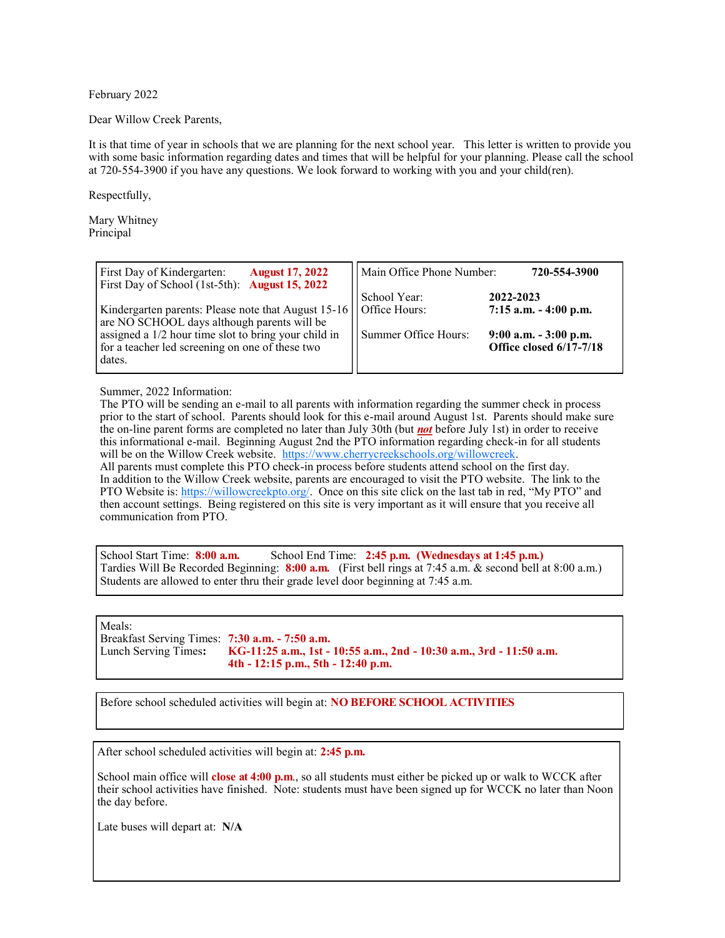February 2022

Dear Willow Creek Parents,

It is that time of year in schools that we are planning for the next school year. This letter is written to provide you with some basic information regarding dates and times that will be helpful for your planning. Please call the school at 720-554-3900 if you have any questions. We look forward to working with you and your child(ren).

Respectfully,

Mary Whitney Principal

| First Day of Kindergarten:<br><b>August 17, 2022</b><br>First Day of School (1st-5th): August 15, 2022             | Main Office Phone Number: | 720-554-3900                                        |
|--------------------------------------------------------------------------------------------------------------------|---------------------------|-----------------------------------------------------|
| Kindergarten parents: Please note that August 15-16   Office Hours:<br>are NO SCHOOL days although parents will be | School Year:              | 2022-2023<br>$7:15$ a.m. $-4:00$ p.m.               |
| assigned a 1/2 hour time slot to bring your child in<br>for a teacher led screening on one of these two<br>dates.  | Summer Office Hours:      | $9:00$ a.m. $-3:00$ p.m.<br>Office closed 6/17-7/18 |

Summer, 2022 Information:

The PTO will be sending an e-mail to all parents with information regarding the summer check in process prior to the start of school. Parents should look for this e-mail around August 1st. Parents should make sure the on-line parent forms are completed no later than July 30th (but *not* before July 1st) in order to receive this informational e-mail. Beginning August 2nd the PTO information regarding check-in for all students will be on the Willow Creek website. [https://www.cherrycreekschools.org/willowcreek.](https://www.cherrycreekschools.org/willowcreek) All parents must complete this PTO check-in process before students attend school on the first day. In addition to the Willow Creek website, parents are encouraged to visit the PTO website. The link to the PTO Website is: [https://willowcreekpto.org/.](https://willowcreekpto.org/) Once on this site click on the last tab in red, "My PTO" and then account settings. Being registered on this site is very important as it will ensure that you receive all communication from PTO.

School Start Time: **8:00 a.m.** School End Time: **2:45 p.m. (Wednesdays at 1:45 p.m.)** Tardies Will Be Recorded Beginning: **8:00 a.m.** (First bell rings at 7:45 a.m. & second bell at 8:00 a.m.) Students are allowed to enter thru their grade level door beginning at 7:45 a.m.

Meals: Breakfast Serving Times: **7:30 a.m. - 7:50 a.m.** Lunch Serving Times**: KG-11:25 a.m., 1st - 10:55 a.m., 2nd - 10:30 a.m., 3rd - 11:50 a.m. 4th - 12:15 p.m., 5th - 12:40 p.m.**

Before school scheduled activities will begin at: **NO BEFORE SCHOOL ACTIVITIES**

After school scheduled activities will begin at: **2:45 p.m.** 

School main office will **close at 4:00 p.m**., so all students must either be picked up or walk to WCCK after their school activities have finished. Note: students must have been signed up for WCCK no later than Noon the day before.

Late buses will depart at: **N/A**